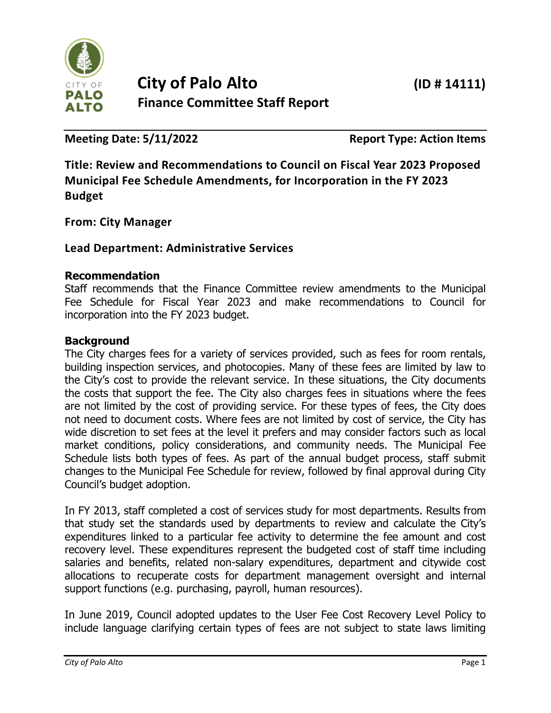

**Meeting Date: 5/11/2022 Report Type: Action Items** 

**Title: Review and Recommendations to Council on Fiscal Year 2023 Proposed Municipal Fee Schedule Amendments, for Incorporation in the FY 2023 Budget**

**From: City Manager**

## **Lead Department: Administrative Services**

#### **Recommendation**

Staff recommends that the Finance Committee review amendments to the Municipal Fee Schedule for Fiscal Year 2023 and make recommendations to Council for incorporation into the FY 2023 budget.

### **Background**

The City charges fees for a variety of services provided, such as fees for room rentals, building inspection services, and photocopies. Many of these fees are limited by law to the City's cost to provide the relevant service. In these situations, the City documents the costs that support the fee. The City also charges fees in situations where the fees are not limited by the cost of providing service. For these types of fees, the City does not need to document costs. Where fees are not limited by cost of service, the City has wide discretion to set fees at the level it prefers and may consider factors such as local market conditions, policy considerations, and community needs. The Municipal Fee Schedule lists both types of fees. As part of the annual budget process, staff submit changes to the Municipal Fee Schedule for review, followed by final approval during City Council's budget adoption.

In FY 2013, staff completed a cost of services study for most departments. Results from that study set the standards used by departments to review and calculate the City's expenditures linked to a particular fee activity to determine the fee amount and cost recovery level. These expenditures represent the budgeted cost of staff time including salaries and benefits, related non-salary expenditures, department and citywide cost allocations to recuperate costs for department management oversight and internal support functions (e.g. purchasing, payroll, human resources).

In June 2019, Council adopted updates to the User Fee Cost Recovery Level Policy to include language clarifying certain types of fees are not subject to state laws limiting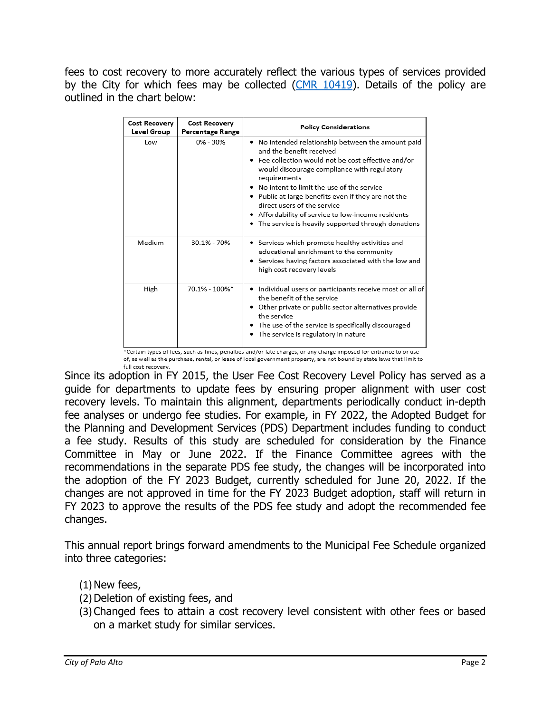fees to cost recovery to more accurately reflect the various types of services provided by the City for which fees may be collected [\(CMR 10419\)](https://www.cityofpaloalto.org/files/assets/public/agendas-minutes-reports/reports/city-manager-reports-cmrs/year-archive/2019/10419.pdf). Details of the policy are outlined in the chart below:

| Cost Recovery<br>Level Group | <b>Cost Recovery</b><br>Percentage Range | <b>Policy Considerations</b>                                                                                                                                                                                                                                                                                                                                                                                                                          |
|------------------------------|------------------------------------------|-------------------------------------------------------------------------------------------------------------------------------------------------------------------------------------------------------------------------------------------------------------------------------------------------------------------------------------------------------------------------------------------------------------------------------------------------------|
| Low                          | $0\% - 30\%$                             | . No intended relationship between the amount paid<br>and the benefit received<br>• Fee collection would not be cost effective and/or<br>would discourage compliance with regulatory<br>requirements<br>No intent to limit the use of the service<br>• Public at large benefits even if they are not the<br>direct users of the service<br>• Affordability of service to low-income residents<br>• The service is heavily supported through donations |
| Medium                       | 30.1% - 70%                              | • Services which promote healthy activities and<br>educational enrichment to the community<br>Services having factors associated with the low and<br>high cost recovery levels                                                                                                                                                                                                                                                                        |
| High                         | 70.1% - 100%*                            | • Individual users or participants receive most or all of<br>the benefit of the service<br>• Other private or public sector alternatives provide<br>the service<br>• The use of the service is specifically discouraged<br>• The service is regulatory in nature<br>*Certain types of fees, such as fines, penalties and/or late charges, or any charge imposed for entrance to or use                                                                |

of, as well as the purchase, rental, or lease of local government property, are not bound by state laws that limit to full cost recovery.

Since its adoption in FY 2015, the User Fee Cost Recovery Level Policy has served as a guide for departments to update fees by ensuring proper alignment with user cost recovery levels. To maintain this alignment, departments periodically conduct in-depth fee analyses or undergo fee studies. For example, in FY 2022, the Adopted Budget for the Planning and Development Services (PDS) Department includes funding to conduct a fee study. Results of this study are scheduled for consideration by the Finance Committee in May or June 2022. If the Finance Committee agrees with the recommendations in the separate PDS fee study, the changes will be incorporated into the adoption of the FY 2023 Budget, currently scheduled for June 20, 2022. If the changes are not approved in time for the FY 2023 Budget adoption, staff will return in FY 2023 to approve the results of the PDS fee study and adopt the recommended fee changes.

This annual report brings forward amendments to the Municipal Fee Schedule organized into three categories:

## $(1)$  New fees,

- (2)Deletion of existing fees, and
- (3)Changed fees to attain a cost recovery level consistent with other fees or based on a market study for similar services.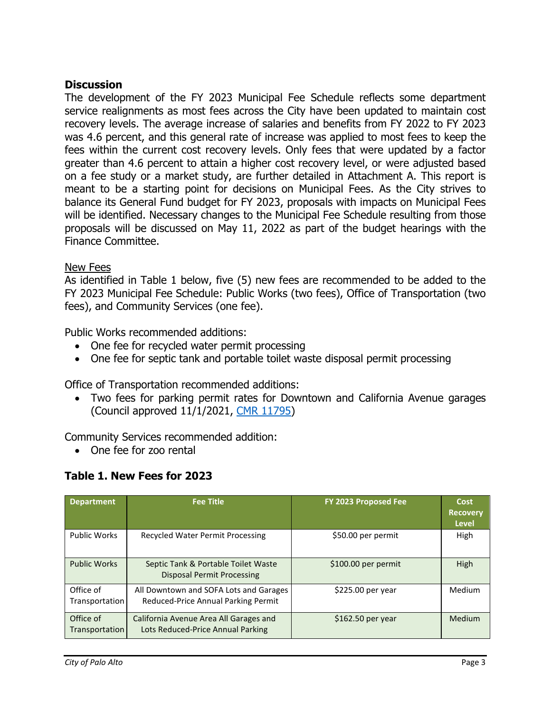#### **Discussion**

The development of the FY 2023 Municipal Fee Schedule reflects some department service realignments as most fees across the City have been updated to maintain cost recovery levels. The average increase of salaries and benefits from FY 2022 to FY 2023 was 4.6 percent, and this general rate of increase was applied to most fees to keep the fees within the current cost recovery levels. Only fees that were updated by a factor greater than 4.6 percent to attain a higher cost recovery level, or were adjusted based on a fee study or a market study, are further detailed in Attachment A. This report is meant to be a starting point for decisions on Municipal Fees. As the City strives to balance its General Fund budget for FY 2023, proposals with impacts on Municipal Fees will be identified. Necessary changes to the Municipal Fee Schedule resulting from those proposals will be discussed on May 11, 2022 as part of the budget hearings with the Finance Committee.

#### New Fees

As identified in Table 1 below, five (5) new fees are recommended to be added to the FY 2023 Municipal Fee Schedule: Public Works (two fees), Office of Transportation (two fees), and Community Services (one fee).

Public Works recommended additions:

- One fee for recycled water permit processing
- One fee for septic tank and portable toilet waste disposal permit processing

Office of Transportation recommended additions:

• Two fees for parking permit rates for Downtown and California Avenue garages (Council approved 11/1/2021, [CMR 11795\)](https://www.cityofpaloalto.org/files/assets/public/agendas-minutes-reports/agendas-minutes/city-council-agendas-minutes/2021/11-november/20211101pccs-amended.pdf)

Community Services recommended addition:

• One fee for zoo rental

#### **Table 1. New Fees for 2023**

| <b>Department</b>           | <b>Fee Title</b>                                                              | FY 2023 Proposed Fee | Cost<br><b>Recovery</b><br>Level |
|-----------------------------|-------------------------------------------------------------------------------|----------------------|----------------------------------|
| <b>Public Works</b>         | Recycled Water Permit Processing                                              | \$50.00 per permit   | High                             |
| <b>Public Works</b>         | Septic Tank & Portable Toilet Waste<br><b>Disposal Permit Processing</b>      | \$100.00 per permit  | High                             |
| Office of<br>Transportation | All Downtown and SOFA Lots and Garages<br>Reduced-Price Annual Parking Permit | \$225.00 per year    | <b>Medium</b>                    |
| Office of<br>Transportation | California Avenue Area All Garages and<br>Lots Reduced-Price Annual Parking   | $$162.50$ per year   | Medium                           |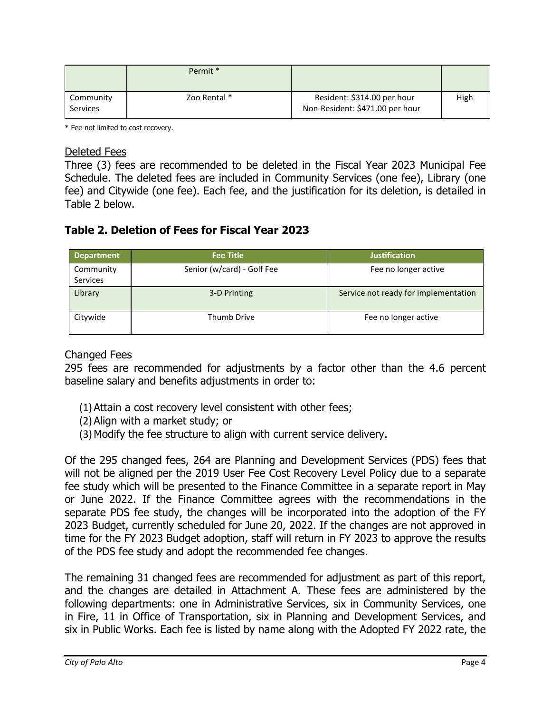|                              | Permit *     |                                                                |      |
|------------------------------|--------------|----------------------------------------------------------------|------|
| Community<br><b>Services</b> | Zoo Rental * | Resident: \$314.00 per hour<br>Non-Resident: \$471.00 per hour | High |

\* Fee not limited to cost recovery.

#### Deleted Fees

Three (3) fees are recommended to be deleted in the Fiscal Year 2023 Municipal Fee Schedule. The deleted fees are included in Community Services (one fee), Library (one fee) and Citywide (one fee). Each fee, and the justification for its deletion, is detailed in Table 2 below.

### **Table 2. Deletion of Fees for Fiscal Year 2023**

| <b>Department</b>            | <b>Fee Title</b>           | <b>Justification</b>                 |
|------------------------------|----------------------------|--------------------------------------|
| Community<br><b>Services</b> | Senior (w/card) - Golf Fee | Fee no longer active                 |
| Library                      | 3-D Printing               | Service not ready for implementation |
| Citywide                     | Thumb Drive                | Fee no longer active                 |

#### Changed Fees

295 fees are recommended for adjustments by a factor other than the 4.6 percent baseline salary and benefits adjustments in order to:

- (1)Attain a cost recovery level consistent with other fees;
- (2)Align with a market study; or
- (3)Modify the fee structure to align with current service delivery.

Of the 295 changed fees, 264 are Planning and Development Services (PDS) fees that will not be aligned per the 2019 User Fee Cost Recovery Level Policy due to a separate fee study which will be presented to the Finance Committee in a separate report in May or June 2022. If the Finance Committee agrees with the recommendations in the separate PDS fee study, the changes will be incorporated into the adoption of the FY 2023 Budget, currently scheduled for June 20, 2022. If the changes are not approved in time for the FY 2023 Budget adoption, staff will return in FY 2023 to approve the results of the PDS fee study and adopt the recommended fee changes.

The remaining 31 changed fees are recommended for adjustment as part of this report, and the changes are detailed in Attachment A. These fees are administered by the following departments: one in Administrative Services, six in Community Services, one in Fire, 11 in Office of Transportation, six in Planning and Development Services, and six in Public Works. Each fee is listed by name along with the Adopted FY 2022 rate, the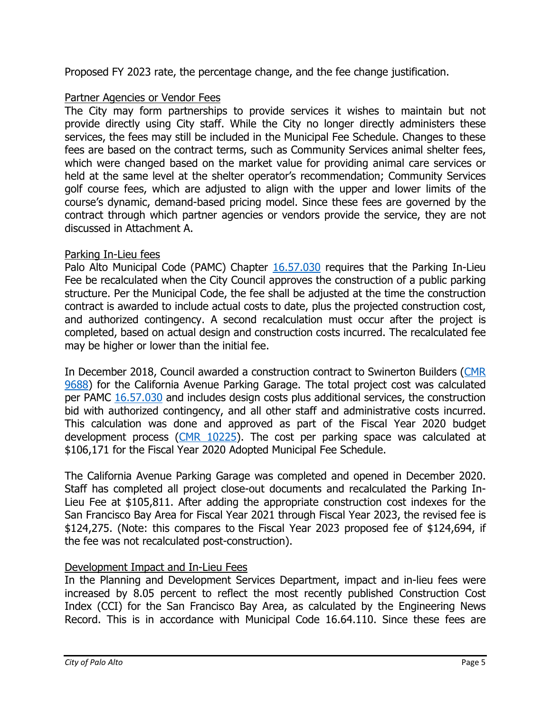Proposed FY 2023 rate, the percentage change, and the fee change justification.

#### Partner Agencies or Vendor Fees

The City may form partnerships to provide services it wishes to maintain but not provide directly using City staff. While the City no longer directly administers these services, the fees may still be included in the Municipal Fee Schedule. Changes to these fees are based on the contract terms, such as Community Services animal shelter fees, which were changed based on the market value for providing animal care services or held at the same level at the shelter operator's recommendation; Community Services golf course fees, which are adjusted to align with the upper and lower limits of the course's dynamic, demand-based pricing model. Since these fees are governed by the contract through which partner agencies or vendors provide the service, they are not discussed in Attachment A.

#### Parking In-Lieu fees

Palo Alto Municipal Code (PAMC) Chapter [16.57.030](https://codelibrary.amlegal.com/codes/paloalto/latest/paloalto_ca/0-0-0-74866) requires that the Parking In-Lieu Fee be recalculated when the City Council approves the construction of a public parking structure. Per the Municipal Code, the fee shall be adjusted at the time the construction contract is awarded to include actual costs to date, plus the projected construction cost, and authorized contingency. A second recalculation must occur after the project is completed, based on actual design and construction costs incurred. The recalculated fee may be higher or lower than the initial fee.

In December 2018, Council awarded a construction contract to Swinerton Builders [\(CMR](https://www.cityofpaloalto.org/files/assets/public/agendas-minutes-reports/reports/city-manager-reports-cmrs/year-archive/2018/id.-9688-350-sherman-ave-garage-construction.pdf?t=62452.05)  [9688\)](https://www.cityofpaloalto.org/files/assets/public/agendas-minutes-reports/reports/city-manager-reports-cmrs/year-archive/2018/id.-9688-350-sherman-ave-garage-construction.pdf?t=62452.05) for the California Avenue Parking Garage. The total project cost was calculated per PAMC [16.57.030](https://codelibrary.amlegal.com/codes/paloalto/latest/paloalto_ca/0-0-0-74866) and includes design costs plus additional services, the construction bid with authorized contingency, and all other staff and administrative costs incurred. This calculation was done and approved as part of the Fiscal Year 2020 budget development process [\(CMR 10225\)](https://www.cityofpaloalto.org/files/assets/public/agendas-minutes-reports/reports/city-manager-reports-cmrs/year-archive/2019/10225.pdf). The cost per parking space was calculated at \$106,171 for the Fiscal Year 2020 Adopted Municipal Fee Schedule.

The California Avenue Parking Garage was completed and opened in December 2020. Staff has completed all project close-out documents and recalculated the Parking In-Lieu Fee at \$105,811. After adding the appropriate construction cost indexes for the San Francisco Bay Area for Fiscal Year 2021 through Fiscal Year 2023, the revised fee is \$124,275. (Note: this compares to the Fiscal Year 2023 proposed fee of \$124,694, if the fee was not recalculated post-construction).

#### Development Impact and In-Lieu Fees

In the Planning and Development Services Department, impact and in-lieu fees were increased by 8.05 percent to reflect the most recently published Construction Cost Index (CCI) for the San Francisco Bay Area, as calculated by the Engineering News Record. This is in accordance with Municipal Code 16.64.110. Since these fees are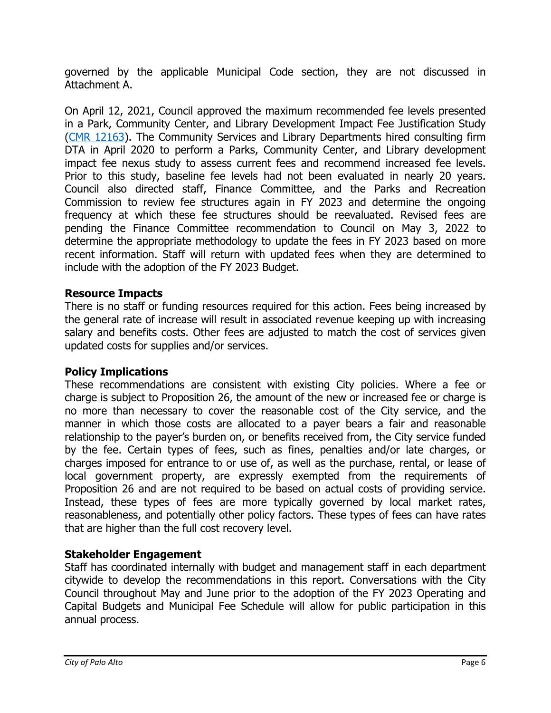governed by the applicable Municipal Code section, they are not discussed in Attachment A.

On April 12, 2021, Council approved the maximum recommended fee levels presented in a Park, Community Center, and Library Development Impact Fee Justification Study [\(CMR 12163\)](https://www.cityofpaloalto.org/files/assets/public/agendas-minutes-reports/reports/city-manager-reports-cmrs/current-year/2021/id-12163.pdf). The Community Services and Library Departments hired consulting firm DTA in April 2020 to perform a Parks, Community Center, and Library development impact fee nexus study to assess current fees and recommend increased fee levels. Prior to this study, baseline fee levels had not been evaluated in nearly 20 years. Council also directed staff, Finance Committee, and the Parks and Recreation Commission to review fee structures again in FY 2023 and determine the ongoing frequency at which these fee structures should be reevaluated. Revised fees are pending the Finance Committee recommendation to Council on May 3, 2022 to determine the appropriate methodology to update the fees in FY 2023 based on more recent information. Staff will return with updated fees when they are determined to include with the adoption of the FY 2023 Budget.

### **Resource Impacts**

There is no staff or funding resources required for this action. Fees being increased by the general rate of increase will result in associated revenue keeping up with increasing salary and benefits costs. Other fees are adjusted to match the cost of services given updated costs for supplies and/or services.

#### **Policy Implications**

These recommendations are consistent with existing City policies. Where a fee or charge is subject to Proposition 26, the amount of the new or increased fee or charge is no more than necessary to cover the reasonable cost of the City service, and the manner in which those costs are allocated to a payer bears a fair and reasonable relationship to the payer's burden on, or benefits received from, the City service funded by the fee. Certain types of fees, such as fines, penalties and/or late charges, or charges imposed for entrance to or use of, as well as the purchase, rental, or lease of local government property, are expressly exempted from the requirements of Proposition 26 and are not required to be based on actual costs of providing service. Instead, these types of fees are more typically governed by local market rates, reasonableness, and potentially other policy factors. These types of fees can have rates that are higher than the full cost recovery level.

#### **Stakeholder Engagement**

Staff has coordinated internally with budget and management staff in each department citywide to develop the recommendations in this report. Conversations with the City Council throughout May and June prior to the adoption of the FY 2023 Operating and Capital Budgets and Municipal Fee Schedule will allow for public participation in this annual process.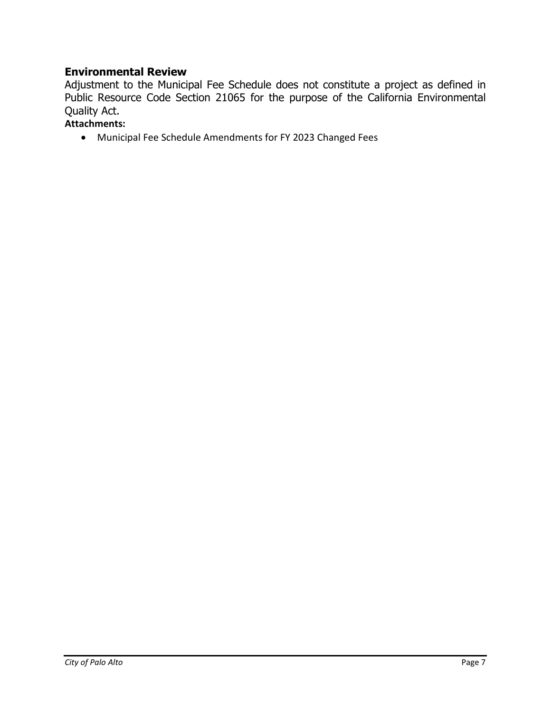#### **Environmental Review**

Adjustment to the Municipal Fee Schedule does not constitute a project as defined in Public Resource Code Section 21065 for the purpose of the California Environmental Quality Act.

# **Attachments:**

• Municipal Fee Schedule Amendments for FY 2023 Changed Fees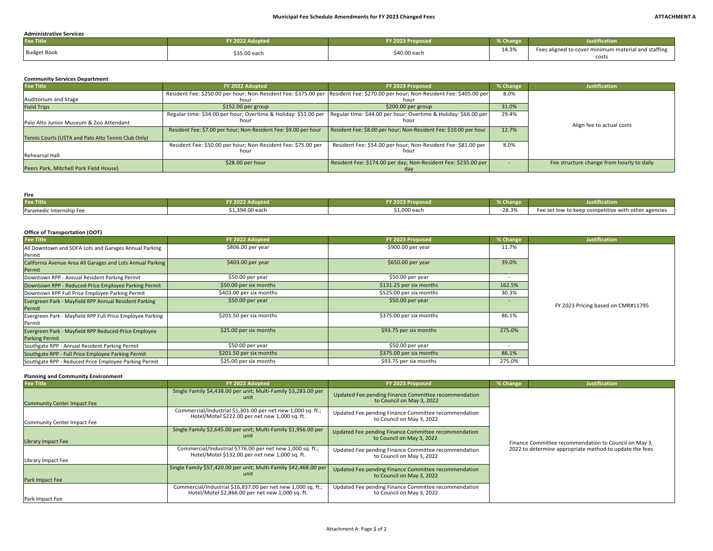#### **Administrative Services**

| <b>Fee Title</b>   | 2022 Adopted | <b>FY 2023</b><br>023 Proposed | <b>Solution</b> Change | <b>Justification</b>                                |
|--------------------|--------------|--------------------------------|------------------------|-----------------------------------------------------|
| <b>Budget Book</b> | \$35.00 each | \$40.00 each                   | 14.3%                  | Fees aligned to cover minimum material and staffing |
|                    |              |                                |                        | costs                                               |

#### **Community Services Department**

| <b>Fee Title</b>                                    | FY 2022 Adopted                                                                                                                         | FY 2023 Proposed                                                      | % Change | <b>Justification</b>                      |
|-----------------------------------------------------|-----------------------------------------------------------------------------------------------------------------------------------------|-----------------------------------------------------------------------|----------|-------------------------------------------|
| Auditorium and Stage                                | Resident Fee: \$250.00 per hour; Non-Resident Fee: \$375.00 per Resident Fee: \$270.00 per hour; Non-Resident Fee: \$405.00 per<br>hour | hou                                                                   | 8.0%     |                                           |
| <b>Field Trips</b>                                  | $$152.00$ per group                                                                                                                     | $$200.00$ per group                                                   | 31.0%    |                                           |
| Palo Alto Junior Museum & Zoo Attendant             | Regular time: \$34.00 per hour; Overtime & Holiday: \$51.00 per Regular time: \$44.00 per hour; Overtime & Holiday: \$66.00 per<br>hour | hour                                                                  | 29.4%    | Align fee to actual costs                 |
| Tennis Courts (USTA and Palo Alto Tennis Club Only) | Resident Fee: \$7.00 per hour; Non-Resident Fee: \$9.00 per hour                                                                        | Resident Fee: \$8.00 per hour; Non-Resident Fee: \$10.00 per hour     | 12.7%    |                                           |
| Rehearsal Hall                                      | Resident Fee: \$50.00 per hour; Non-Resident Fee: \$75.00 per<br>hour                                                                   | Resident Fee: \$54.00 per hour; Non-Resident Fee: \$81.00 per<br>houi | 8.0%     |                                           |
| Peers Park, Mitchell Park Field House)              | \$28.00 per hour                                                                                                                        | Resident Fee: \$174.00 per day; Non-Resident Fee: \$235.00 per        |          | Fee structure change from hourly to daily |

#### **Fire**

| <b>Fee Title</b>         | <b>V 2022 Adopted</b> | $-4$ 2023 Proposed | ----<br><b>So Change</b> | $\cdots$<br>Justification                           |
|--------------------------|-----------------------|--------------------|--------------------------|-----------------------------------------------------|
| Paramedic Internship Fee | \$1,394.00 each       | \$1,000 each       | $-28.3%$                 | Fee set low to keep competitive with other agencies |

#### **Office of Transportation (OOT)**

| <b>Fee Title</b>                                           | FY 2022 Adopted         | FY 2023 Proposed        | % Change | <b>Justification</b>               |
|------------------------------------------------------------|-------------------------|-------------------------|----------|------------------------------------|
| All Downtown and SOFA Lots and Garages Annual Parking      | \$806.00 per year       | \$900.00 per year       | 11.7%    |                                    |
| Permit                                                     |                         |                         |          |                                    |
| California Avenue Area All Garages and Lots Annual Parking | $$403.00$ per year      | $$650.00$ per year      | 39.0%    |                                    |
| Permit                                                     |                         |                         |          |                                    |
| Downtown RPP - Annual Resident Parking Permit              | \$50.00 per year        | \$50.00 per year        |          |                                    |
| Downtown RPP - Reduced-Price Employee Parking Permit       | \$50.00 per six months  | \$131.25 per six months | 162.5%   |                                    |
| Downtown RPP Full Price Employee Parking Permit            | \$403.00 per six months | \$525.00 per six months | 30.3%    |                                    |
| Evergreen Park - Mayfield RPP Annual Resident Parking      | $$50.00$ per year       | $$50.00$ per year       |          |                                    |
| Permit                                                     |                         |                         |          | FY 2023 Pricing based on CMR#11795 |
| Evergreen Park - Mayfield RPP Full Price Employee Parking  | \$201.50 per six months | \$375.00 per six months | 86.1%    |                                    |
| Permit                                                     |                         |                         |          |                                    |
| Evergreen Park - Mayfield RPP Reduced-Price Employee       | \$25.00 per six months  | \$93.75 per six months  | 275.0%   |                                    |
| <b>Parking Permit</b>                                      |                         |                         |          |                                    |
| Southgate RPP - Annual Resident Parking Permit             | \$50.00 per year        | \$50.00 per year        |          |                                    |
| Southgate RPP - Full Price Employee Parking Permit         | \$201.50 per six months | \$375.00 per six months | 86.1%    |                                    |
| Southgate RPP - Reduced Price Employee Parking Permit      | \$25.00 per six months  | \$93.75 per six months  | 275.0%   |                                    |

#### **Planning and Community Environment**

| <b>Fee Title</b>                   | FY 2022 Adopted                                                                                                  | FY 2023 Proposed                                                                  | % Change                                                                                                         | <b>Justification</b> |
|------------------------------------|------------------------------------------------------------------------------------------------------------------|-----------------------------------------------------------------------------------|------------------------------------------------------------------------------------------------------------------|----------------------|
| <b>Community Center Impact Fee</b> | Single Family \$4,438.00 per unit; Multi-Family \$3,283.00 per<br>unit                                           | Updated Fee pending Finance Committee recommendation<br>to Council on May 3, 2022 |                                                                                                                  |                      |
| Community Center Impact Fee        | Commercial/Industrial \$1,301.00 per net new 1,000 sq. ft.;<br>Hotel/Motel \$222.00 per net new 1,000 sq. ft.    | Updated Fee pending Finance Committee recommendation<br>to Council on May 3, 2022 |                                                                                                                  |                      |
| <b>Library Impact Fee</b>          | Single Family \$2,645.00 per unit; Multi-Family \$1,956.00 per<br>unit                                           | Updated Fee pending Finance Committee recommendation<br>to Council on May 3, 2022 | Finance Committee recommendation to Council on May 3,<br>2022 to determine appropriate method to update the fees |                      |
| Library Impact Fee                 | Commercial/Industrial \$776.00 per net new 1,000 sq. ft.;<br>Hotel/Motel \$132.00 per net new 1,000 sq. ft.      | Updated Fee pending Finance Committee recommendation<br>to Council on May 3, 2022 |                                                                                                                  |                      |
| Park Impact Fee                    | Single Family \$57,420.00 per unit; Multi-Family \$42,468.00 per<br>unit                                         | Updated Fee pending Finance Committee recommendation<br>to Council on May 3, 2022 |                                                                                                                  |                      |
| Park Impact Fee                    | Commercial/Industrial \$16,837.00 per net new 1,000 sq. ft.;<br>Hotel/Motel \$2,866.00 per net new 1,000 sq. ft. | Updated Fee pending Finance Committee recommendation<br>to Council on May 3, 2022 |                                                                                                                  |                      |